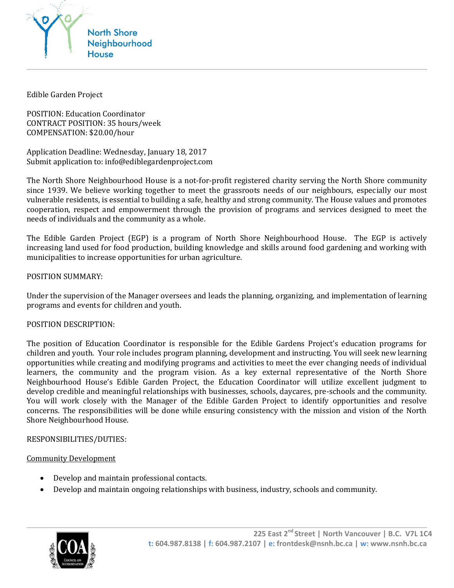

Edible Garden Project

POSITION: Education Coordinator CONTRACT POSITION: 35 hours/week COMPENSATION: \$20.00/hour

Application Deadline: Wednesday, January 18, 2017 Submit application to: info@ediblegardenproject.com

The North Shore Neighbourhood House is a not-for-profit registered charity serving the North Shore community since 1939. We believe working together to meet the grassroots needs of our neighbours, especially our most vulnerable residents, is essential to building a safe, healthy and strong community. The House values and promotes cooperation, respect and empowerment through the provision of programs and services designed to meet the needs of individuals and the community as a whole.

The Edible Garden Project (EGP) is a program of North Shore Neighbourhood House. The EGP is actively increasing land used for food production, building knowledge and skills around food gardening and working with municipalities to increase opportunities for urban agriculture.

## POSITION SUMMARY:

Under the supervision of the Manager oversees and leads the planning, organizing, and implementation of learning programs and events for children and youth.

### POSITION DESCRIPTION:

The position of Education Coordinator is responsible for the Edible Gardens Project's education programs for children and youth. Your role includes program planning, development and instructing. You will seek new learning opportunities while creating and modifying programs and activities to meet the ever changing needs of individual learners, the community and the program vision. As a key external representative of the North Shore Neighbourhood House's Edible Garden Project, the Education Coordinator will utilize excellent judgment to develop credible and meaningful relationships with businesses, schools, daycares, pre-schools and the community. You will work closely with the Manager of the Edible Garden Project to identify opportunities and resolve concerns. The responsibilities will be done while ensuring consistency with the mission and vision of the North Shore Neighbourhood House.

### RESPONSIBILITIES/DUTIES:

### Community Development

- Develop and maintain professional contacts.
- Develop and maintain ongoing relationships with business, industry, schools and community.

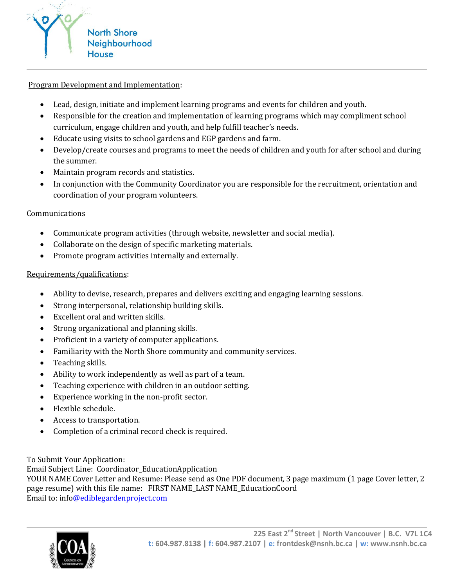

## Program Development and Implementation:

- Lead, design, initiate and implement learning programs and events for children and youth.
- Responsible for the creation and implementation of learning programs which may compliment school curriculum, engage children and youth, and help fulfill teacher's needs.
- Educate using visits to school gardens and EGP gardens and farm.
- Develop/create courses and programs to meet the needs of children and youth for after school and during the summer.
- Maintain program records and statistics.
- In conjunction with the Community Coordinator you are responsible for the recruitment, orientation and coordination of your program volunteers.

# Communications

- Communicate program activities (through website, newsletter and social media).
- Collaborate on the design of specific marketing materials.
- Promote program activities internally and externally.

## Requirements/qualifications:

- Ability to devise, research, prepares and delivers exciting and engaging learning sessions.
- Strong interpersonal, relationship building skills.
- Excellent oral and written skills.
- Strong organizational and planning skills.
- Proficient in a variety of computer applications.
- Familiarity with the North Shore community and community services.
- Teaching skills.
- Ability to work independently as well as part of a team.
- Teaching experience with children in an outdoor setting.
- Experience working in the non-profit sector.
- Flexible schedule.
- Access to transportation.
- Completion of a criminal record check is required.

# To Submit Your Application:

Email Subject Line: Coordinator\_EducationApplication

YOUR NAME Cover Letter and Resume: Please send as One PDF document, 3 page maximum (1 page Cover letter, 2 page resume) with this file name: FIRST NAME\_LAST NAME\_EducationCoord Email to: info@ediblegardenproject.com